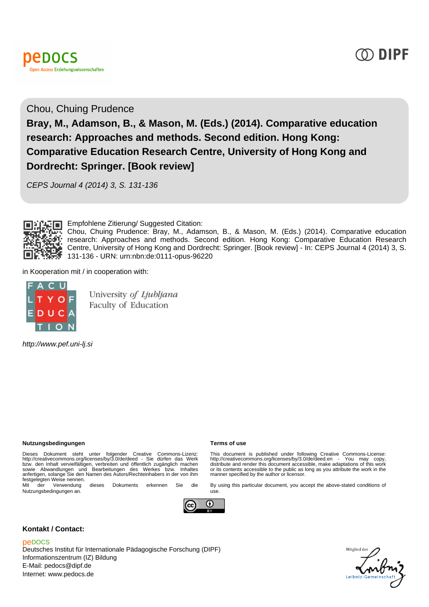



## Chou, Chuing Prudence **Bray, M., Adamson, B., & Mason, M. (Eds.) (2014). Comparative education research: Approaches and methods. Second edition. Hong Kong: Comparative Education Research Centre, University of Hong Kong and Dordrecht: Springer. [Book review]**

CEPS Journal 4 (2014) 3, S. 131-136



**Empfohlene Zitierung/ Suggested Citation:** 

Chou, Chuing Prudence: Bray, M., Adamson, B., & Mason, M. (Eds.) (2014). Comparative education research: Approaches and methods. Second edition. Hong Kong: Comparative Education Research Centre, University of Hong Kong and Dordrecht: Springer. [Book review] - In: CEPS Journal 4 (2014) 3, S. 131-136 - URN: urn:nbn:de:0111-opus-96220

in Kooperation mit / in cooperation with:



University of Ljubljana Faculty of Education

http://www.pef.uni-lj.si

## **Nutzungsbedingungen Terms of use**

Dieses Dokument steht unter folgender Creative Commons-Lizenz:<br>http://creativecommons.org/licenses/by/3.0/de/deed - Sie dürfen das Werk<br>bzw. den Inhalt vervielfältigen, verbreiten und öffentlich zugänglich machen<br>sowie Abw

Nutzungsbedingungen an.



This document is published under following Creative Commons-License: http://creativecommons.org/licenses/by/3.0/de/deed.en - You may copy, distribute and render this document accessible, make adaptations of this work or its contents accessible to the public as long as you attribute the work in the manner specified by the author or licensor.

By using this particular document, you accept the above-stated conditions of



use.

## **Kontakt / Contact:**

## peDOCS

Deutsches Institut für Internationale Pädagogische Forschung (DIPF) Informationszentrum (IZ) Bildung E-Mail: pedocs@dipf.de Internet: www.pedocs.de

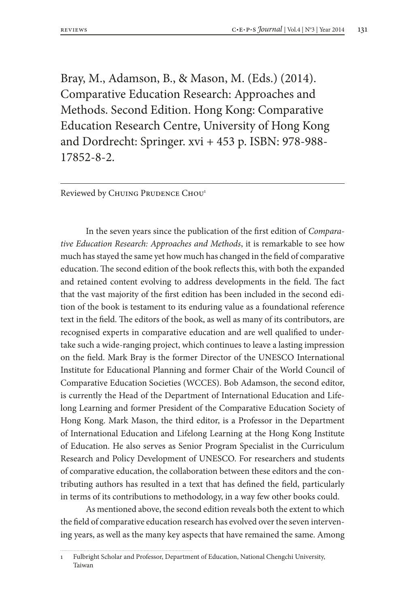Bray, M., Adamson, B., & Mason, M. (Eds.) (2014). Comparative Education Research: Approaches and Methods. Second Edition. Hong Kong: Comparative Education Research Centre, University of Hong Kong and Dordrecht: Springer. xvi + 453 p. ISBN: 978-988- 17852-8-2.

Reviewed by CHUING PRUDENCE CHOU<sup>1</sup>

In the seven years since the publication of the first edition of *Comparative Education Research: Approaches and Methods*, it is remarkable to see how much has stayed the same yet how much has changed in the field of comparative education. The second edition of the book reflects this, with both the expanded and retained content evolving to address developments in the field. The fact that the vast majority of the first edition has been included in the second edition of the book is testament to its enduring value as a foundational reference text in the field. The editors of the book, as well as many of its contributors, are recognised experts in comparative education and are well qualified to undertake such a wide-ranging project, which continues to leave a lasting impression on the field. Mark Bray is the former Director of the UNESCO International Institute for Educational Planning and former Chair of the World Council of Comparative Education Societies (WCCES). Bob Adamson, the second editor, is currently the Head of the Department of International Education and Lifelong Learning and former President of the Comparative Education Society of Hong Kong. Mark Mason, the third editor, is a Professor in the Department of International Education and Lifelong Learning at the Hong Kong Institute of Education. He also serves as Senior Program Specialist in the Curriculum Research and Policy Development of UNESCO. For researchers and students of comparative education, the collaboration between these editors and the contributing authors has resulted in a text that has defined the field, particularly in terms of its contributions to methodology, in a way few other books could.

As mentioned above, the second edition reveals both the extent to which the field of comparative education research has evolved over the seven intervening years, as well as the many key aspects that have remained the same. Among

<sup>1</sup> Fulbright Scholar and Professor, Department of Education, National Chengchi University, Taiwan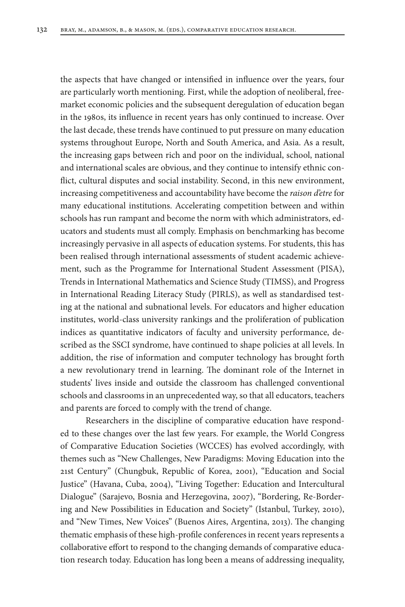the aspects that have changed or intensified in influence over the years, four are particularly worth mentioning. First, while the adoption of neoliberal, freemarket economic policies and the subsequent deregulation of education began in the 1980s, its influence in recent years has only continued to increase. Over the last decade, these trends have continued to put pressure on many education systems throughout Europe, North and South America, and Asia. As a result, the increasing gaps between rich and poor on the individual, school, national and international scales are obvious, and they continue to intensify ethnic conflict, cultural disputes and social instability. Second, in this new environment, increasing competitiveness and accountability have become the *raison d'etre* for many educational institutions. Accelerating competition between and within schools has run rampant and become the norm with which administrators, educators and students must all comply. Emphasis on benchmarking has become increasingly pervasive in all aspects of education systems. For students, this has been realised through international assessments of student academic achievement, such as the Programme for International Student Assessment (PISA), Trends in International Mathematics and Science Study (TIMSS), and Progress in International Reading Literacy Study (PIRLS), as well as standardised testing at the national and subnational levels. For educators and higher education institutes, world-class university rankings and the proliferation of publication indices as quantitative indicators of faculty and university performance, described as the SSCI syndrome, have continued to shape policies at all levels. In addition, the rise of information and computer technology has brought forth a new revolutionary trend in learning. The dominant role of the Internet in students' lives inside and outside the classroom has challenged conventional schools and classrooms in an unprecedented way, so that all educators, teachers and parents are forced to comply with the trend of change.

Researchers in the discipline of comparative education have responded to these changes over the last few years. For example, the World Congress of Comparative Education Societies (WCCES) has evolved accordingly, with themes such as "New Challenges, New Paradigms: Moving Education into the 21st Century" (Chungbuk, Republic of Korea, 2001), "Education and Social Justice" (Havana, Cuba, 2004), "Living Together: Education and Intercultural Dialogue" (Sarajevo, Bosnia and Herzegovina, 2007), "Bordering, Re-Bordering and New Possibilities in Education and Society" (Istanbul, Turkey, 2010), and "New Times, New Voices" (Buenos Aires, Argentina, 2013). The changing thematic emphasis of these high-profile conferences in recent years represents a collaborative effort to respond to the changing demands of comparative education research today. Education has long been a means of addressing inequality,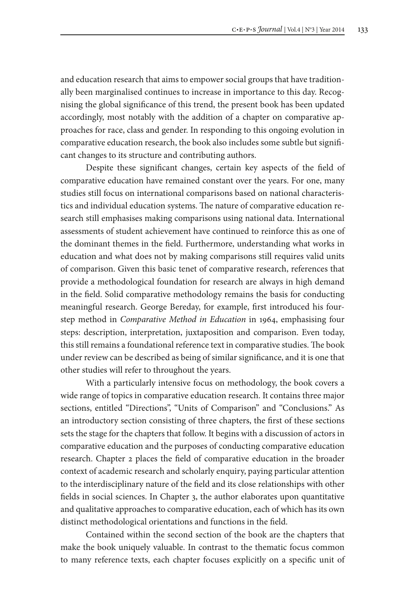and education research that aims to empower social groups that have traditionally been marginalised continues to increase in importance to this day. Recognising the global significance of this trend, the present book has been updated accordingly, most notably with the addition of a chapter on comparative approaches for race, class and gender. In responding to this ongoing evolution in comparative education research, the book also includes some subtle but significant changes to its structure and contributing authors.

Despite these significant changes, certain key aspects of the field of comparative education have remained constant over the years. For one, many studies still focus on international comparisons based on national characteristics and individual education systems. The nature of comparative education research still emphasises making comparisons using national data. International assessments of student achievement have continued to reinforce this as one of the dominant themes in the field. Furthermore, understanding what works in education and what does not by making comparisons still requires valid units of comparison. Given this basic tenet of comparative research, references that provide a methodological foundation for research are always in high demand in the field. Solid comparative methodology remains the basis for conducting meaningful research. George Bereday, for example, first introduced his fourstep method in *Comparative Method in Education* in 1964, emphasising four steps: description, interpretation, juxtaposition and comparison. Even today, this still remains a foundational reference text in comparative studies. The book under review can be described as being of similar significance, and it is one that other studies will refer to throughout the years.

With a particularly intensive focus on methodology, the book covers a wide range of topics in comparative education research. It contains three major sections, entitled "Directions", "Units of Comparison" and "Conclusions." As an introductory section consisting of three chapters, the first of these sections sets the stage for the chapters that follow. It begins with a discussion of actors in comparative education and the purposes of conducting comparative education research. Chapter 2 places the field of comparative education in the broader context of academic research and scholarly enquiry, paying particular attention to the interdisciplinary nature of the field and its close relationships with other fields in social sciences. In Chapter 3, the author elaborates upon quantitative and qualitative approaches to comparative education, each of which has its own distinct methodological orientations and functions in the field.

Contained within the second section of the book are the chapters that make the book uniquely valuable. In contrast to the thematic focus common to many reference texts, each chapter focuses explicitly on a specific unit of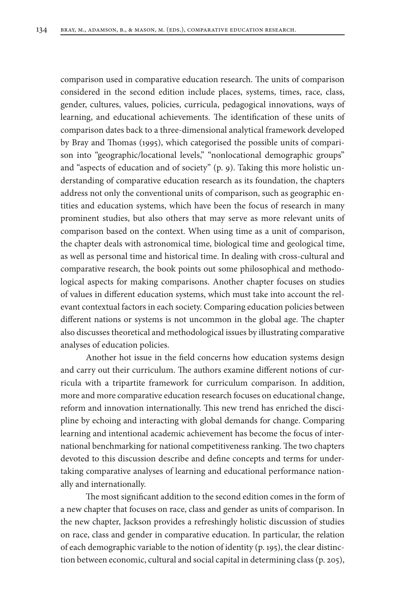comparison used in comparative education research. The units of comparison considered in the second edition include places, systems, times, race, class, gender, cultures, values, policies, curricula, pedagogical innovations, ways of learning, and educational achievements. The identification of these units of comparison dates back to a three-dimensional analytical framework developed by Bray and Thomas (1995), which categorised the possible units of comparison into "geographic/locational levels," "nonlocational demographic groups" and "aspects of education and of society" (p. 9). Taking this more holistic understanding of comparative education research as its foundation, the chapters address not only the conventional units of comparison, such as geographic entities and education systems, which have been the focus of research in many prominent studies, but also others that may serve as more relevant units of comparison based on the context. When using time as a unit of comparison, the chapter deals with astronomical time, biological time and geological time, as well as personal time and historical time. In dealing with cross-cultural and comparative research, the book points out some philosophical and methodological aspects for making comparisons. Another chapter focuses on studies of values in different education systems, which must take into account the relevant contextual factors in each society. Comparing education policies between different nations or systems is not uncommon in the global age. The chapter also discusses theoretical and methodological issues by illustrating comparative analyses of education policies.

Another hot issue in the field concerns how education systems design and carry out their curriculum. The authors examine different notions of curricula with a tripartite framework for curriculum comparison. In addition, more and more comparative education research focuses on educational change, reform and innovation internationally. This new trend has enriched the discipline by echoing and interacting with global demands for change. Comparing learning and intentional academic achievement has become the focus of international benchmarking for national competitiveness ranking. The two chapters devoted to this discussion describe and define concepts and terms for undertaking comparative analyses of learning and educational performance nationally and internationally.

The most significant addition to the second edition comes in the form of a new chapter that focuses on race, class and gender as units of comparison. In the new chapter, Jackson provides a refreshingly holistic discussion of studies on race, class and gender in comparative education. In particular, the relation of each demographic variable to the notion of identity (p. 195), the clear distinction between economic, cultural and social capital in determining class (p. 205),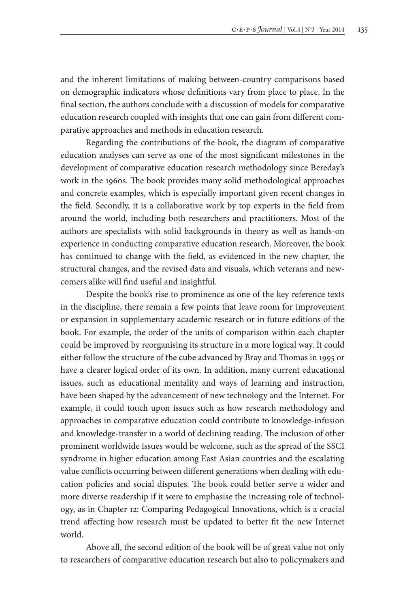and the inherent limitations of making between-country comparisons based on demographic indicators whose definitions vary from place to place. In the final section, the authors conclude with a discussion of models for comparative education research coupled with insights that one can gain from different comparative approaches and methods in education research.

Regarding the contributions of the book, the diagram of comparative education analyses can serve as one of the most significant milestones in the development of comparative education research methodology since Bereday's work in the 1960s. The book provides many solid methodological approaches and concrete examples, which is especially important given recent changes in the field. Secondly, it is a collaborative work by top experts in the field from around the world, including both researchers and practitioners. Most of the authors are specialists with solid backgrounds in theory as well as hands-on experience in conducting comparative education research. Moreover, the book has continued to change with the field, as evidenced in the new chapter, the structural changes, and the revised data and visuals, which veterans and newcomers alike will find useful and insightful.

Despite the book's rise to prominence as one of the key reference texts in the discipline, there remain a few points that leave room for improvement or expansion in supplementary academic research or in future editions of the book. For example, the order of the units of comparison within each chapter could be improved by reorganising its structure in a more logical way. It could either follow the structure of the cube advanced by Bray and Thomas in 1995 or have a clearer logical order of its own. In addition, many current educational issues, such as educational mentality and ways of learning and instruction, have been shaped by the advancement of new technology and the Internet. For example, it could touch upon issues such as how research methodology and approaches in comparative education could contribute to knowledge-infusion and knowledge-transfer in a world of declining reading. The inclusion of other prominent worldwide issues would be welcome, such as the spread of the SSCI syndrome in higher education among East Asian countries and the escalating value conflicts occurring between different generations when dealing with education policies and social disputes. The book could better serve a wider and more diverse readership if it were to emphasise the increasing role of technology, as in Chapter 12: Comparing Pedagogical Innovations, which is a crucial trend affecting how research must be updated to better fit the new Internet world.

Above all, the second edition of the book will be of great value not only to researchers of comparative education research but also to policymakers and